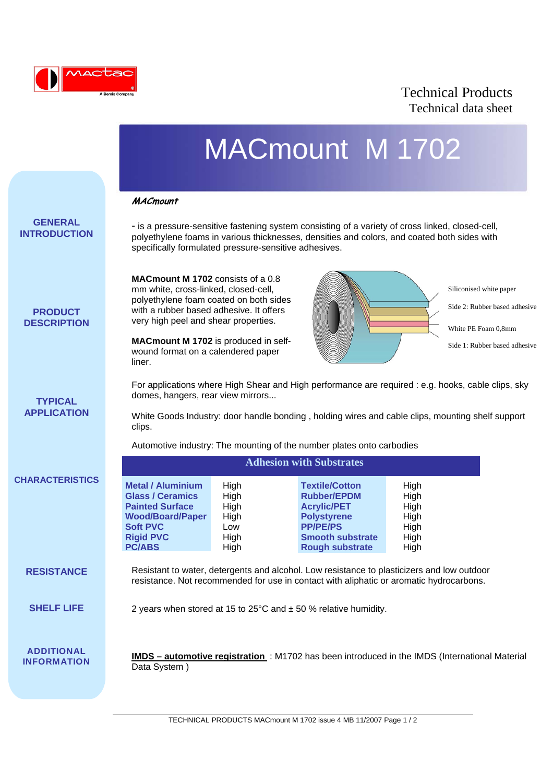

## Technical Products Technical data sheet

|                                         |                                                                                                                                                                                                                                                       |                                                     | <b>MACmount M 1702</b>                                                                                                                                                                          |                                                      |                                                          |
|-----------------------------------------|-------------------------------------------------------------------------------------------------------------------------------------------------------------------------------------------------------------------------------------------------------|-----------------------------------------------------|-------------------------------------------------------------------------------------------------------------------------------------------------------------------------------------------------|------------------------------------------------------|----------------------------------------------------------|
| <b>GENERAL</b><br><b>INTRODUCTION</b>   | <b>MACmount</b>                                                                                                                                                                                                                                       |                                                     | - is a pressure-sensitive fastening system consisting of a variety of cross linked, closed-cell,<br>polyethylene foams in various thicknesses, densities and colors, and coated both sides with |                                                      |                                                          |
|                                         | specifically formulated pressure-sensitive adhesives.<br><b>MACmount M 1702</b> consists of a 0.8<br>mm white, cross-linked, closed-cell,<br>polyethylene foam coated on both sides                                                                   |                                                     |                                                                                                                                                                                                 |                                                      | Siliconised white paper<br>Side 2: Rubber based adhesive |
| <b>PRODUCT</b><br><b>DESCRIPTION</b>    | with a rubber based adhesive. It offers<br>very high peel and shear properties.<br>MACmount M 1702 is produced in self-<br>wound format on a calendered paper<br>liner.                                                                               |                                                     |                                                                                                                                                                                                 |                                                      | White PE Foam 0,8mm<br>Side 1: Rubber based adhesive     |
| <b>TYPICAL</b><br><b>APPLICATION</b>    | For applications where High Shear and High performance are required : e.g. hooks, cable clips, sky<br>domes, hangers, rear view mirrors<br>White Goods Industry: door handle bonding, holding wires and cable clips, mounting shelf support<br>clips. |                                                     |                                                                                                                                                                                                 |                                                      |                                                          |
|                                         | Automotive industry: The mounting of the number plates onto carbodies<br><b>Adhesion with Substrates</b>                                                                                                                                              |                                                     |                                                                                                                                                                                                 |                                                      |                                                          |
| <b>CHARACTERISTICS</b>                  | <b>Metal / Aluminium</b><br><b>Glass / Ceramics</b><br><b>Painted Surface</b><br><b>Wood/Board/Paper</b><br><b>Soft PVC</b><br><b>Rigid PVC</b><br><b>PC/ABS</b>                                                                                      | High<br>High<br>High<br>High<br>Low<br>High<br>High | <b>Textile/Cotton</b><br><b>Rubber/EPDM</b><br><b>Acrylic/PET</b><br><b>Polystyrene</b><br><b>PP/PE/PS</b><br><b>Smooth substrate</b><br><b>Rough substrate</b>                                 | High<br>High<br>High<br>High<br>High<br>High<br>High |                                                          |
| <b>RESISTANCE</b>                       | Resistant to water, detergents and alcohol. Low resistance to plasticizers and low outdoor<br>resistance. Not recommended for use in contact with aliphatic or aromatic hydrocarbons.                                                                 |                                                     |                                                                                                                                                                                                 |                                                      |                                                          |
| <b>SHELF LIFE</b>                       | 2 years when stored at 15 to 25°C and $\pm$ 50 % relative humidity.                                                                                                                                                                                   |                                                     |                                                                                                                                                                                                 |                                                      |                                                          |
| <b>ADDITIONAL</b><br><b>INFORMATION</b> | <b>IMDS – automotive registration</b> : M1702 has been introduced in the IMDS (International Material<br>Data System)                                                                                                                                 |                                                     |                                                                                                                                                                                                 |                                                      |                                                          |